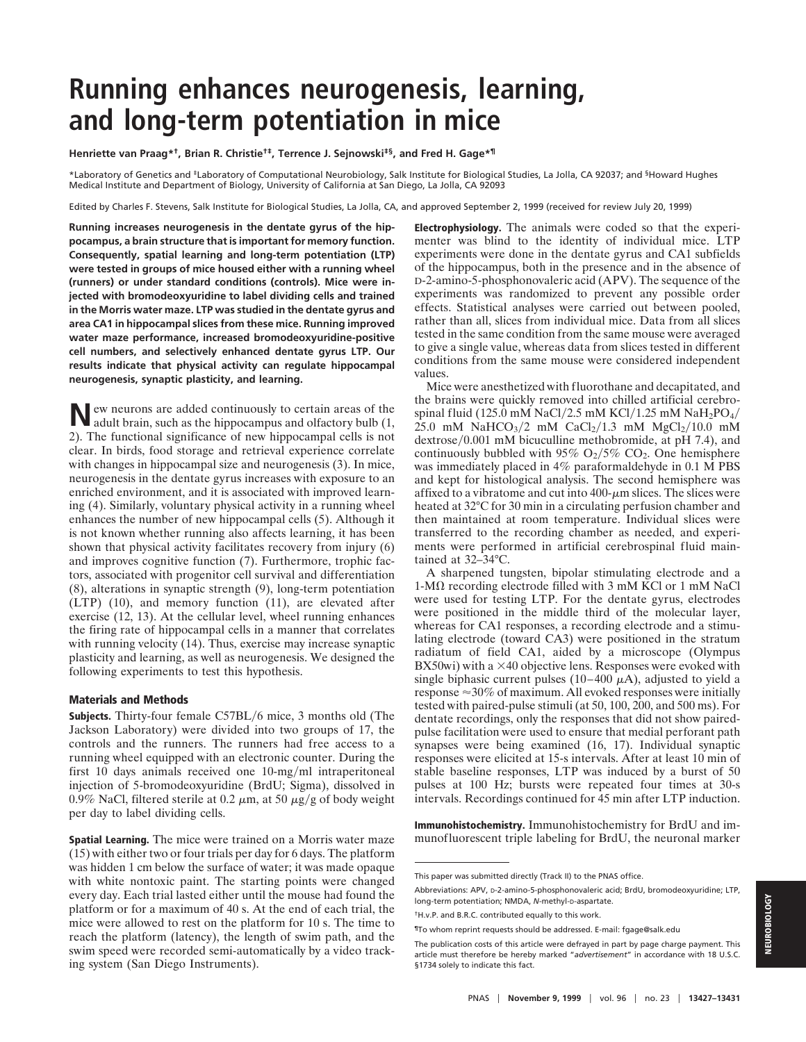# **Running enhances neurogenesis, learning, and long-term potentiation in mice**

**Henriette van Praag\*†, Brian R. Christie†‡, Terrence J. Sejnowski‡§, and Fred H. Gage\*¶**

\*Laboratory of Genetics and ‡Laboratory of Computational Neurobiology, Salk Institute for Biological Studies, La Jolla, CA 92037; and §Howard Hughes Medical Institute and Department of Biology, University of California at San Diego, La Jolla, CA 92093

Edited by Charles F. Stevens, Salk Institute for Biological Studies, La Jolla, CA, and approved September 2, 1999 (received for review July 20, 1999)

**Running increases neurogenesis in the dentate gyrus of the hippocampus, a brain structure that is important for memory function. Consequently, spatial learning and long-term potentiation (LTP) were tested in groups of mice housed either with a running wheel (runners) or under standard conditions (controls). Mice were injected with bromodeoxyuridine to label dividing cells and trained in the Morris water maze. LTP was studied in the dentate gyrus and area CA1 in hippocampal slices from these mice. Running improved water maze performance, increased bromodeoxyuridine-positive cell numbers, and selectively enhanced dentate gyrus LTP. Our results indicate that physical activity can regulate hippocampal neurogenesis, synaptic plasticity, and learning.**

**N**ew neurons are added continuously to certain areas of the adult brain, such as the hippocampus and olfactory bulb (1, 2). The functional significance of new hippocampal cells is not clear. In birds, food storage and retrieval experience correlate with changes in hippocampal size and neurogenesis (3). In mice, neurogenesis in the dentate gyrus increases with exposure to an enriched environment, and it is associated with improved learning (4). Similarly, voluntary physical activity in a running wheel enhances the number of new hippocampal cells (5). Although it is not known whether running also affects learning, it has been shown that physical activity facilitates recovery from injury (6) and improves cognitive function (7). Furthermore, trophic factors, associated with progenitor cell survival and differentiation (8), alterations in synaptic strength (9), long-term potentiation (LTP) (10), and memory function (11), are elevated after exercise (12, 13). At the cellular level, wheel running enhances the firing rate of hippocampal cells in a manner that correlates with running velocity (14). Thus, exercise may increase synaptic plasticity and learning, as well as neurogenesis. We designed the following experiments to test this hypothesis.

## **Materials and Methods**

**Subjects.** Thirty-four female C57BL/6 mice, 3 months old (The Jackson Laboratory) were divided into two groups of 17, the controls and the runners. The runners had free access to a running wheel equipped with an electronic counter. During the first 10 days animals received one 10-mg/ml intraperitoneal injection of 5-bromodeoxyuridine (BrdU; Sigma), dissolved in 0.9% NaCl, filtered sterile at 0.2  $\mu$ m, at 50  $\mu$ g/g of body weight per day to label dividing cells.

**Spatial Learning.** The mice were trained on a Morris water maze (15) with either two or four trials per day for 6 days. The platform was hidden 1 cm below the surface of water; it was made opaque with white nontoxic paint. The starting points were changed every day. Each trial lasted either until the mouse had found the platform or for a maximum of 40 s. At the end of each trial, the mice were allowed to rest on the platform for 10 s. The time to reach the platform (latency), the length of swim path, and the swim speed were recorded semi-automatically by a video tracking system (San Diego Instruments).

**Electrophysiology.** The animals were coded so that the experimenter was blind to the identity of individual mice. LTP experiments were done in the dentate gyrus and CA1 subfields of the hippocampus, both in the presence and in the absence of D-2-amino-5-phosphonovaleric acid (APV). The sequence of the experiments was randomized to prevent any possible order effects. Statistical analyses were carried out between pooled, rather than all, slices from individual mice. Data from all slices tested in the same condition from the same mouse were averaged to give a single value, whereas data from slices tested in different conditions from the same mouse were considered independent values.

Mice were anesthetized with fluorothane and decapitated, and the brains were quickly removed into chilled artificial cerebrospinal fluid (125.0 mM NaCl/2.5 mM KCl/1.25 mM NaH<sub>2</sub>PO<sub>4</sub>/  $25.0$  mM NaHCO<sub>3</sub>/2 mM CaCl<sub>2</sub>/1.3 mM MgCl<sub>2</sub>/10.0 mM dextrose/0.001 mM bicuculline methobromide, at pH 7.4), and continuously bubbled with 95%  $O_2/5\%$  CO<sub>2</sub>. One hemisphere was immediately placed in 4% paraformaldehyde in 0.1 M PBS and kept for histological analysis. The second hemisphere was affixed to a vibratome and cut into  $400$ - $\mu$ m slices. The slices were heated at 32°C for 30 min in a circulating perfusion chamber and then maintained at room temperature. Individual slices were transferred to the recording chamber as needed, and experiments were performed in artificial cerebrospinal fluid maintained at 32–34°C.

A sharpened tungsten, bipolar stimulating electrode and a  $1-M\Omega$  recording electrode filled with 3 mM KCl or 1 mM NaCl were used for testing LTP. For the dentate gyrus, electrodes were positioned in the middle third of the molecular layer, whereas for CA1 responses, a recording electrode and a stimulating electrode (toward CA3) were positioned in the stratum radiatum of field CA1, aided by a microscope (Olympus  $BX50wi)$  with a  $\times$ 40 objective lens. Responses were evoked with single biphasic current pulses (10–400  $\mu$ A), adjusted to yield a response  $\approx$  30% of maximum. All evoked responses were initially tested with paired-pulse stimuli (at 50, 100, 200, and 500 ms). For dentate recordings, only the responses that did not show pairedpulse facilitation were used to ensure that medial perforant path synapses were being examined (16, 17). Individual synaptic responses were elicited at 15-s intervals. After at least 10 min of stable baseline responses, LTP was induced by a burst of 50 pulses at 100 Hz; bursts were repeated four times at 30-s intervals. Recordings continued for 45 min after LTP induction.

**Immunohistochemistry.** Immunohistochemistry for BrdU and immunofluorescent triple labeling for BrdU, the neuronal marker

Abbreviations: APV, D-2-amino-5-phosphonovaleric acid; BrdU, bromodeoxyuridine; LTP, long-term potentiation; NMDA, N-methyl-D-aspartate.

This paper was submitted directly (Track II) to the PNAS office.

<sup>†</sup>H.v.P. and B.R.C. contributed equally to this work.

<sup>¶</sup>To whom reprint requests should be addressed. E-mail: fgage@salk.edu

The publication costs of this article were defrayed in part by page charge payment. This article must therefore be hereby marked "*advertisement*" in accordance with 18 U.S.C. §1734 solely to indicate this fact.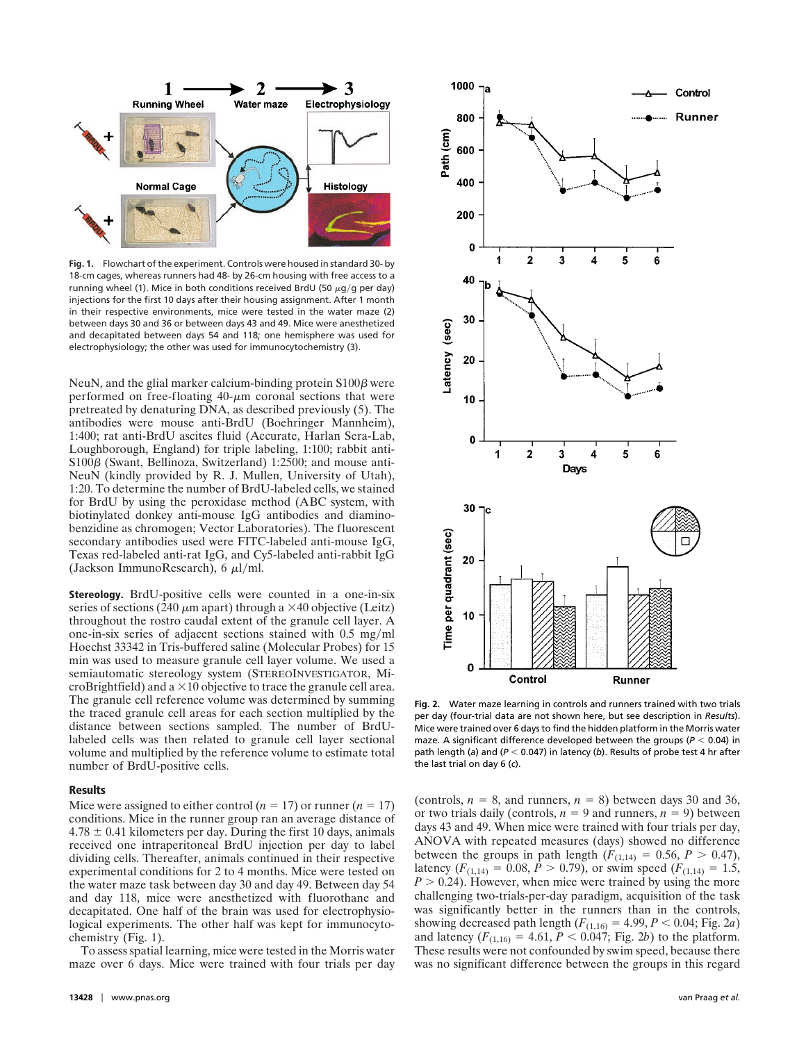

**Fig. 1.** Flowchart of the experiment. Controls were housed in standard 30- by 18-cm cages, whereas runners had 48- by 26-cm housing with free access to a running wheel (1). Mice in both conditions received BrdU (50  $\mu$ g/g per day) injections for the first 10 days after their housing assignment. After 1 month in their respective environments, mice were tested in the water maze (2) between days 30 and 36 or between days 43 and 49. Mice were anesthetized and decapitated between days 54 and 118; one hemisphere was used for electrophysiology; the other was used for immunocytochemistry (3).

NeuN, and the glial marker calcium-binding protein  $S100\beta$  were performed on free-floating  $40$ - $\mu$ m coronal sections that were pretreated by denaturing DNA, as described previously (5). The antibodies were mouse anti-BrdU (Boehringer Mannheim), 1:400; rat anti-BrdU ascites fluid (Accurate, Harlan Sera-Lab, Loughborough, England) for triple labeling, 1:100; rabbit anti- $S100\beta$  (Swant, Bellinoza, Switzerland) 1:2500; and mouse anti-NeuN (kindly provided by R. J. Mullen, University of Utah), 1:20. To determine the number of BrdU-labeled cells, we stained for BrdU by using the peroxidase method (ABC system, with biotinylated donkey anti-mouse IgG antibodies and diaminobenzidine as chromogen; Vector Laboratories). The fluorescent secondary antibodies used were FITC-labeled anti-mouse IgG, Texas red-labeled anti-rat IgG, and Cy5-labeled anti-rabbit IgG (Jackson ImmunoResearch), 6  $\mu$ l/ml.

**Stereology.** BrdU-positive cells were counted in a one-in-six series of sections (240  $\mu$ m apart) through a  $\times$ 40 objective (Leitz) throughout the rostro caudal extent of the granule cell layer. A one-in-six series of adjacent sections stained with  $0.5 \text{ mg/ml}$ Hoechst 33342 in Tris-buffered saline (Molecular Probes) for 15 min was used to measure granule cell layer volume. We used a semiautomatic stereology system (STEREOINVESTIGATOR, MicroBrightfield) and a  $\times$ 10 objective to trace the granule cell area. The granule cell reference volume was determined by summing the traced granule cell areas for each section multiplied by the distance between sections sampled. The number of BrdUlabeled cells was then related to granule cell layer sectional volume and multiplied by the reference volume to estimate total number of BrdU-positive cells.

# **Results**

Mice were assigned to either control  $(n = 17)$  or runner  $(n = 17)$ conditions. Mice in the runner group ran an average distance of  $4.78 \pm 0.41$  kilometers per day. During the first 10 days, animals received one intraperitoneal BrdU injection per day to label dividing cells. Thereafter, animals continued in their respective experimental conditions for 2 to 4 months. Mice were tested on the water maze task between day 30 and day 49. Between day 54 and day 118, mice were anesthetized with fluorothane and decapitated. One half of the brain was used for electrophysiological experiments. The other half was kept for immunocytochemistry (Fig. 1).

To assess spatial learning, mice were tested in the Morris water maze over 6 days. Mice were trained with four trials per day



**Fig. 2.** Water maze learning in controls and runners trained with two trials per day (four-trial data are not shown here, but see description in *Results*). Mice were trained over 6 days to find the hidden platform in the Morris water maze. A significant difference developed between the groups ( $P < 0.04$ ) in path length (a) and ( $P < 0.047$ ) in latency (b). Results of probe test 4 hr after the last trial on day 6 (*c*).

(controls,  $n = 8$ , and runners,  $n = 8$ ) between days 30 and 36, or two trials daily (controls,  $n = 9$  and runners,  $n = 9$ ) between days 43 and 49. When mice were trained with four trials per day, ANOVA with repeated measures (days) showed no difference between the groups in path length  $(F_{(1,14)} = 0.56, P > 0.47)$ , latency  $(F_{(1,14)} = 0.08, P > 0.79)$ , or swim speed  $(F_{(1,14)} = 1.5)$ ,  $P > 0.24$ ). However, when mice were trained by using the more challenging two-trials-per-day paradigm, acquisition of the task was significantly better in the runners than in the controls, showing decreased path length  $(F_{(1,16)} = 4.99, P < 0.04; Fig. 2*a*)$ and latency  $(F_{(1,16)} = 4.61, P < 0.047; \text{Fig. 2b})$  to the platform. These results were not confounded by swim speed, because there was no significant difference between the groups in this regard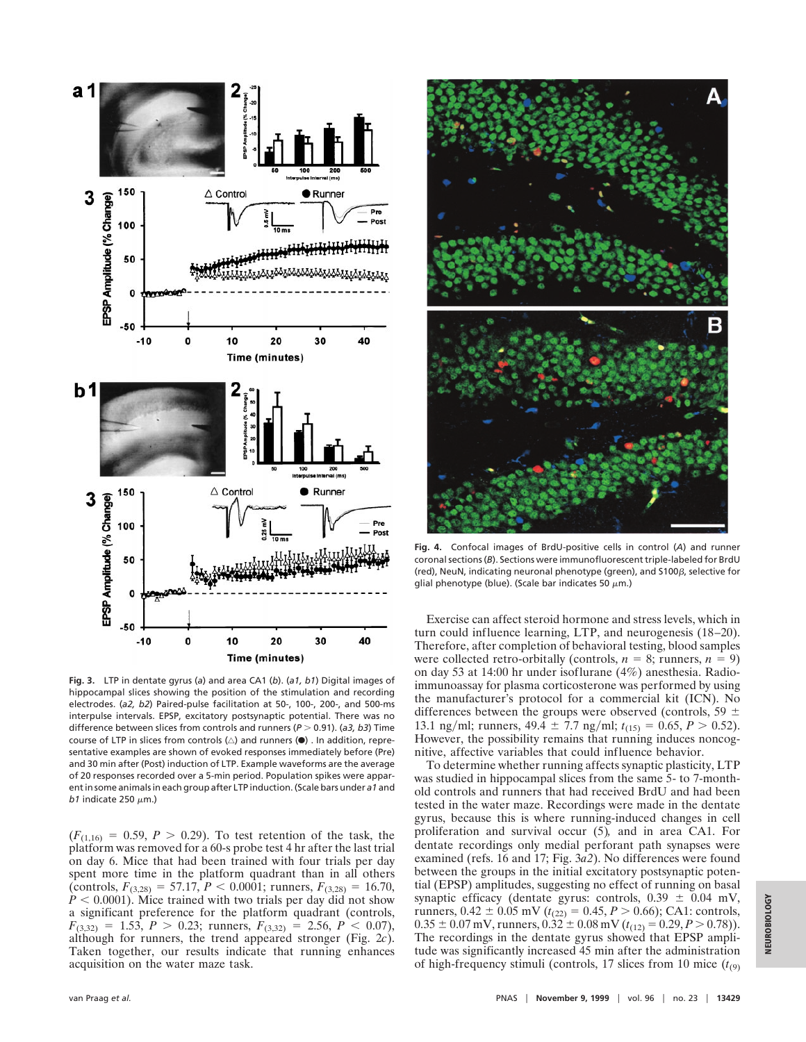

**Fig. 3.** LTP in dentate gyrus (*a*) and area CA1 (*b*). (*a1, b1*) Digital images of hippocampal slices showing the position of the stimulation and recording electrodes. (*a2, b2*) Paired-pulse facilitation at 50-, 100-, 200-, and 500-ms interpulse intervals. EPSP, excitatory postsynaptic potential. There was no difference between slices from controls and runners ( $P > 0.91$ ). (*a3, b3*) Time course of LTP in slices from controls  $(\triangle)$  and runners ( $\bullet$ ). In addition, representative examples are shown of evoked responses immediately before (Pre) and 30 min after (Post) induction of LTP. Example waveforms are the average of 20 responses recorded over a 5-min period. Population spikes were apparent in some animals in each group after LTP induction. (Scale bars under *a1* and *b1* indicate 250  $\mu$ m.)

 $(F_{(1,16)} = 0.59, P > 0.29)$ . To test retention of the task, the platform was removed for a 60-s probe test 4 hr after the last trial on day 6. Mice that had been trained with four trials per day spent more time in the platform quadrant than in all others (controls,  $F_{(3,28)} = 57.17$ ,  $P < 0.0001$ ; runners,  $F_{(3,28)} = 16.70$ ,  $\dot{P}$  < 0.0001). Mice trained with two trials per day did not show a significant preference for the platform quadrant (controls,  $F_{(3,32)} = 1.53$ ,  $P > 0.23$ ; runners,  $F_{(3,32)} = 2.56$ ,  $P < 0.07$ ), although for runners, the trend appeared stronger (Fig. 2*c*). Taken together, our results indicate that running enhances acquisition on the water maze task.



**Fig. 4.** Confocal images of BrdU-positive cells in control (*A*) and runner coronal sections (*B*). Sections were immunofluorescent triple-labeled for BrdU (red), NeuN, indicating neuronal phenotype (green), and  $$100\beta$ , selective for glial phenotype (blue). (Scale bar indicates 50  $\mu$ m.)

Exercise can affect steroid hormone and stress levels, which in turn could influence learning, LTP, and neurogenesis (18–20). Therefore, after completion of behavioral testing, blood samples were collected retro-orbitally (controls,  $n = 8$ ; runners,  $n = 9$ ) on day 53 at 14:00 hr under isoflurane (4%) anesthesia. Radioimmunoassay for plasma corticosterone was performed by using the manufacturer's protocol for a commercial kit (ICN). No differences between the groups were observed (controls, 59  $\pm$ 13.1 ng/ml; runners,  $49.4 \pm 7.7$  ng/ml;  $t_{(15)} = 0.65$ ,  $P > 0.52$ ). However, the possibility remains that running induces noncognitive, affective variables that could influence behavior.

To determine whether running affects synaptic plasticity, LTP was studied in hippocampal slices from the same 5- to 7-monthold controls and runners that had received BrdU and had been tested in the water maze. Recordings were made in the dentate gyrus, because this is where running-induced changes in cell proliferation and survival occur (5)*,* and in area CA1. For dentate recordings only medial perforant path synapses were examined (refs. 16 and 17; Fig. 3*a2*). No differences were found between the groups in the initial excitatory postsynaptic potential (EPSP) amplitudes, suggesting no effect of running on basal synaptic efficacy (dentate gyrus: controls,  $0.39 \pm 0.04$  mV, runners,  $0.42 \pm 0.05$  mV ( $t_{(22)} = 0.45, P > 0.66$ ); CA1: controls,  $0.35 \pm 0.07$  mV, runners,  $0.32 \pm 0.08$  mV ( $t_{(12)} = 0.29, P > 0.78$ )). The recordings in the dentate gyrus showed that EPSP amplitude was significantly increased 45 min after the administration of high-frequency stimuli (controls, 17 slices from 10 mice  $(t_{(9)})$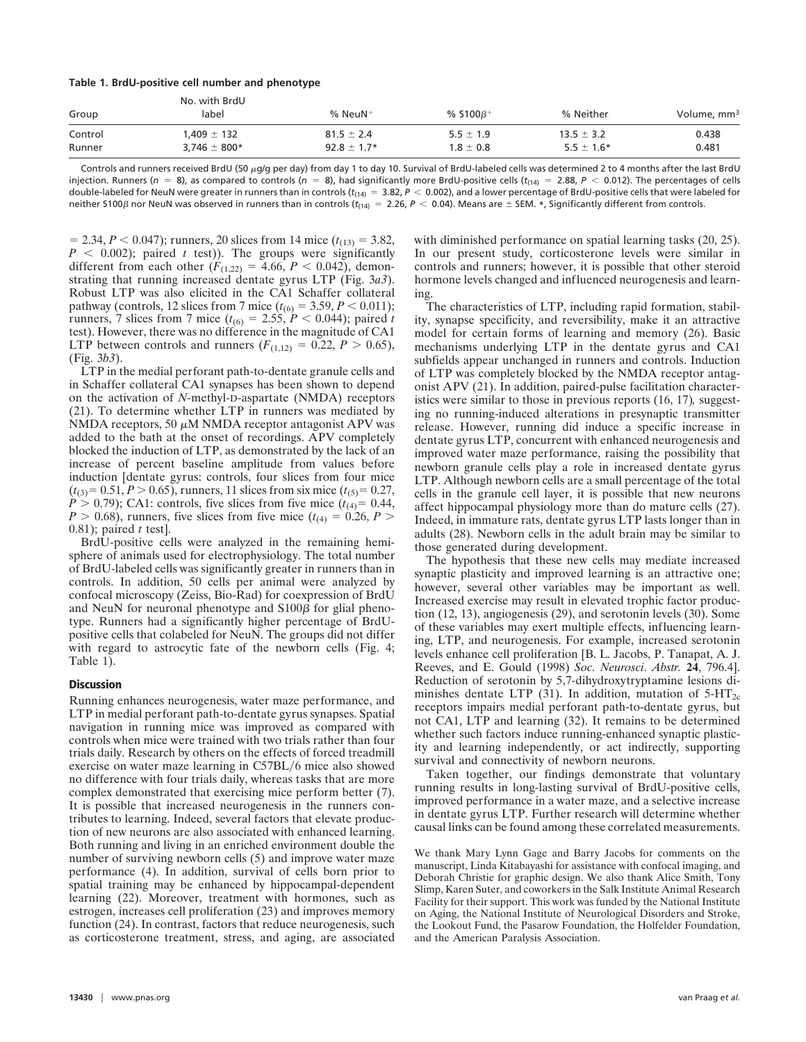#### **Table 1. BrdU-positive cell number and phenotype**

| Group   | No. with BrdU    |                       |                            |                |                         |
|---------|------------------|-----------------------|----------------------------|----------------|-------------------------|
|         | label            | $%$ NeuN <sup>+</sup> | % $$100\beta$ <sup>+</sup> | % Neither      | Volume, mm <sup>3</sup> |
| Control | $1.409 \pm 132$  | $81.5 \pm 2.4$        | $5.5 \pm 1.9$              | $13.5 \pm 3.2$ | 0.438                   |
| Runner  | $3.746 \pm 800*$ | $92.8 \pm 1.7*$       | $1.8 \pm 0.8$              | $5.5 \pm 1.6*$ | 0.481                   |
|         |                  |                       |                            |                |                         |

Controls and runners received BrdU (50  $\mu$ g/g per day) from day 1 to day 10. Survival of BrdU-labeled cells was determined 2 to 4 months after the last BrdU injection. Runners ( $n = 8$ ), as compared to controls ( $n = 8$ ), had significantly more BrdU-positive cells ( $t_{(14)} = 2.88$ ,  $P < 0.012$ ). The percentages of cells double-labeled for NeuN were greater in runners than in controls ( $t_{(14)} = 3.82$ ,  $P < 0.002$ ), and a lower percentage of BrdU-positive cells that were labeled for neither S100 $\beta$  nor NeuN was observed in runners than in controls ( $t_{(14)} = 2.26$ ,  $P < 0.04$ ). Means are  $\pm$  SEM.  $\ast$ , Significantly different from controls.

 $= 2.34, P < 0.047$ ; runners, 20 slices from 14 mice ( $t_{(13)} = 3.82$ ,  $P \leq 0.002$ ; paired *t* test)). The groups were significantly different from each other  $(F_{(1,22)} = 4.66, P < 0.042)$ , demonstrating that running increased dentate gyrus LTP (Fig. 3*a3*). Robust LTP was also elicited in the CA1 Schaffer collateral pathway (controls, 12 slices from 7 mice ( $t_{(6)} = 3.59, P < 0.011$ ); runners, 7 slices from 7 mice ( $t_{(6)} = 2.55$ ,  $P < 0.044$ ); paired *t* test). However, there was no difference in the magnitude of CA1 LTP between controls and runners  $(F_{(1,12)} = 0.22, P > 0.65)$ , (Fig. 3*b3*).

LTP in the medial perforant path-to-dentate granule cells and in Schaffer collateral CA1 synapses has been shown to depend on the activation of *N-*methyl-D-aspartate (NMDA) receptors (21). To determine whether LTP in runners was mediated by NMDA receptors, 50  $\mu$ M NMDA receptor antagonist APV was added to the bath at the onset of recordings. APV completely blocked the induction of LTP, as demonstrated by the lack of an increase of percent baseline amplitude from values before induction [dentate gyrus: controls, four slices from four mice  $(t_{(3)}=0.51, P>0.65)$ , runners, 11 slices from six mice  $(t_{(5)}=0.27,$  $P > 0.79$ ); CA1: controls, five slices from five mice ( $t_{(4)}=0.44$ , *P* > 0.68), runners, five slices from five mice  $(t_{(4)} = 0.26, P >$ 0.81); paired *t* test].

BrdU-positive cells were analyzed in the remaining hemisphere of animals used for electrophysiology. The total number of BrdU-labeled cells was significantly greater in runners than in controls. In addition, 50 cells per animal were analyzed by confocal microscopy (Zeiss, Bio-Rad) for coexpression of BrdU and NeuN for neuronal phenotype and  $S100\beta$  for glial phenotype. Runners had a significantly higher percentage of BrdUpositive cells that colabeled for NeuN. The groups did not differ with regard to astrocytic fate of the newborn cells (Fig. 4; Table 1).

## **Discussion**

Running enhances neurogenesis, water maze performance, and LTP in medial perforant path-to-dentate gyrus synapses. Spatial navigation in running mice was improved as compared with controls when mice were trained with two trials rather than four trials daily. Research by others on the effects of forced treadmill exercise on water maze learning in C57BL/6 mice also showed no difference with four trials daily, whereas tasks that are more complex demonstrated that exercising mice perform better (7). It is possible that increased neurogenesis in the runners contributes to learning. Indeed, several factors that elevate production of new neurons are also associated with enhanced learning. Both running and living in an enriched environment double the number of surviving newborn cells (5) and improve water maze performance (4). In addition, survival of cells born prior to spatial training may be enhanced by hippocampal-dependent learning (22). Moreover, treatment with hormones, such as estrogen, increases cell proliferation (23) and improves memory function (24). In contrast, factors that reduce neurogenesis, such as corticosterone treatment, stress, and aging, are associated with diminished performance on spatial learning tasks  $(20, 25)$ . In our present study, corticosterone levels were similar in controls and runners; however, it is possible that other steroid hormone levels changed and influenced neurogenesis and learning.

The characteristics of LTP, including rapid formation, stability, synapse specificity, and reversibility, make it an attractive model for certain forms of learning and memory (26). Basic mechanisms underlying LTP in the dentate gyrus and CA1 subfields appear unchanged in runners and controls. Induction of LTP was completely blocked by the NMDA receptor antagonist APV (21). In addition, paired-pulse facilitation characteristics were similar to those in previous reports (16, 17)*,* suggesting no running-induced alterations in presynaptic transmitter release. However, running did induce a specific increase in dentate gyrus LTP, concurrent with enhanced neurogenesis and improved water maze performance, raising the possibility that newborn granule cells play a role in increased dentate gyrus LTP. Although newborn cells are a small percentage of the total cells in the granule cell layer, it is possible that new neurons affect hippocampal physiology more than do mature cells (27). Indeed, in immature rats, dentate gyrus LTP lasts longer than in adults (28). Newborn cells in the adult brain may be similar to those generated during development.

The hypothesis that these new cells may mediate increased synaptic plasticity and improved learning is an attractive one; however, several other variables may be important as well. Increased exercise may result in elevated trophic factor production (12, 13), angiogenesis (29), and serotonin levels (30). Some of these variables may exert multiple effects, influencing learning, LTP, and neurogenesis. For example, increased serotonin levels enhance cell proliferation [B. L. Jacobs, P. Tanapat, A. J. Reeves, and E. Gould (1998) *Soc. Neurosci. Abstr.* **24**, 796.4]. Reduction of serotonin by 5,7-dihydroxytryptamine lesions diminishes dentate LTP (31). In addition, mutation of  $5-HT_{2c}$ receptors impairs medial perforant path-to-dentate gyrus, but not CA1, LTP and learning (32). It remains to be determined whether such factors induce running-enhanced synaptic plasticity and learning independently, or act indirectly, supporting survival and connectivity of newborn neurons.

Taken together, our findings demonstrate that voluntary running results in long-lasting survival of BrdU-positive cells, improved performance in a water maze, and a selective increase in dentate gyrus LTP. Further research will determine whether causal links can be found among these correlated measurements.

We thank Mary Lynn Gage and Barry Jacobs for comments on the manuscript, Linda Kitabayashi for assistance with confocal imaging, and Deborah Christie for graphic design. We also thank Alice Smith, Tony Slimp, Karen Suter, and coworkers in the Salk Institute Animal Research Facility for their support. This work was funded by the National Institute on Aging, the National Institute of Neurological Disorders and Stroke, the Lookout Fund, the Pasarow Foundation, the Holfelder Foundation, and the American Paralysis Association.